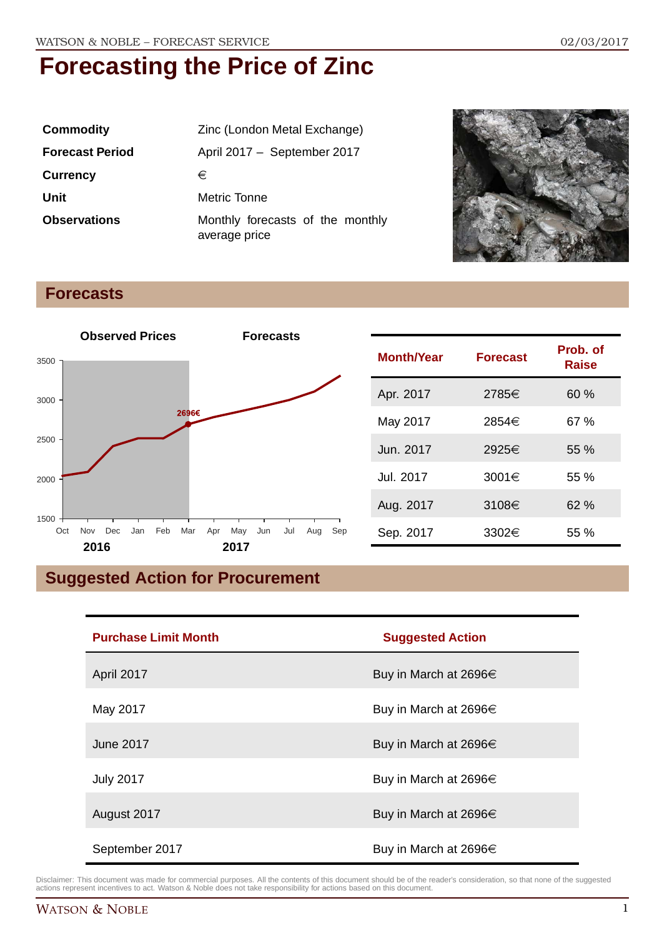| <b>Commodity</b>       | Zinc (London Metal Exchange)                      |  |
|------------------------|---------------------------------------------------|--|
| <b>Forecast Period</b> | April 2017 - September 2017                       |  |
| <b>Currency</b>        | €                                                 |  |
| Unit                   | Metric Tonne                                      |  |
| <b>Observations</b>    | Monthly forecasts of the monthly<br>average price |  |



#### **Forecasts**



| <b>Month/Year</b> | <b>Forecast</b> | Prob. of<br>Raise |
|-------------------|-----------------|-------------------|
| Apr. 2017         | 2785€           | 60%               |
| May 2017          | 2854€           | 67 %              |
| Jun. 2017         | 2925€           | $55\%$            |
| Jul. 2017         | 3001 $\in$      | 55%               |
| Aug. 2017         | 3108€           | 62%               |
| Sep. 2017         | 3302€           | 55 %              |

### **Suggested Action for Procurement**

| <b>Purchase Limit Month</b> | <b>Suggested Action</b>    |
|-----------------------------|----------------------------|
| April 2017                  | Buy in March at 2696 $\in$ |
| May 2017                    | Buy in March at 2696 $\in$ |
| June 2017                   | Buy in March at 2696€      |
| <b>July 2017</b>            | Buy in March at 2696€      |
| August 2017                 | Buy in March at 2696€      |
| September 2017              | Buy in March at 2696 $\in$ |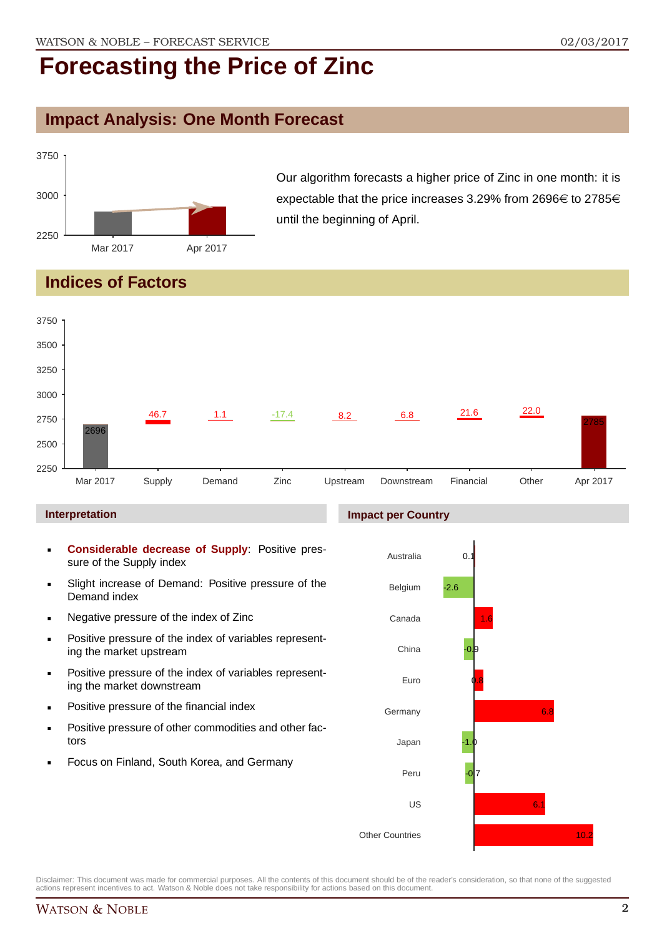### **Impact Analysis: One Month Forecast**



Our algorithm forecasts a higher price of Zinc in one month: it is expectable that the price increases 3.29% from 2696 $\in$  to 2785 $\in$ until the beginning of April.

### **Indices of Factors**



- **Positive pressure of the index of variables represent**ing the market upstream
- **Positive pressure of the index of variables represent**ing the market downstream
- **•** Positive pressure of the financial index
- **Positive pressure of other commodities and other fac**tors
- Focus on Finland, South Korea, and Germany

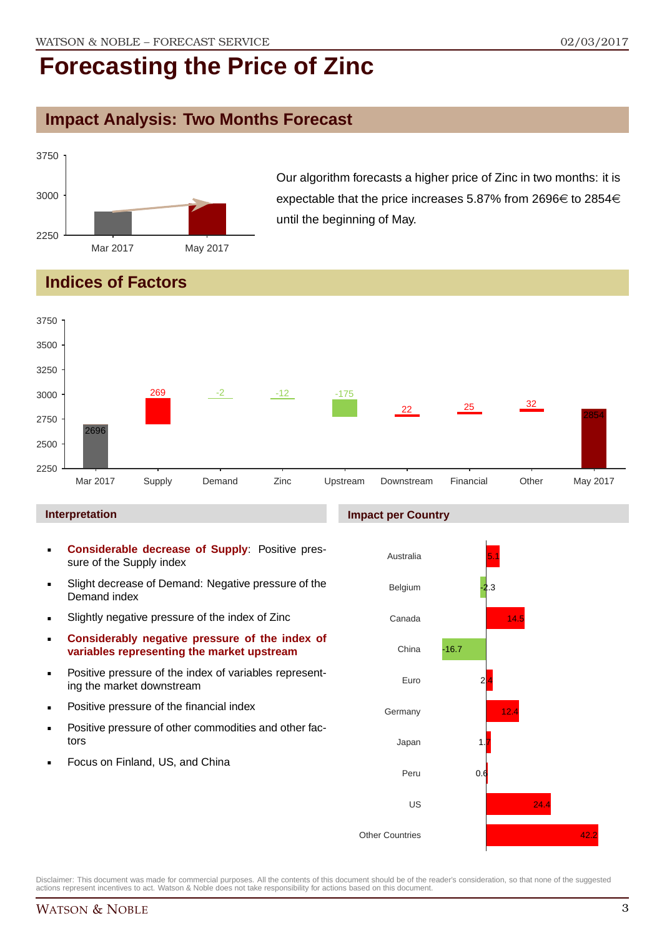#### **Impact Analysis: Two Months Forecast**



Our algorithm forecasts a higher price of Zinc in two months: it is expectable that the price increases 5.87% from 2696 $\in$  to 2854 $\in$ until the beginning of May.

### **Indices of Factors**



#### **Interpretation**

- **Considerable decrease of Supply**: Positive pressure of the Supply index
- Slight decrease of Demand: Negative pressure of the Demand index
- Slightly negative pressure of the index of Zinc
- **Considerably negative pressure of the index of variables representing the market upstream**
- Positive pressure of the index of variables representing the market downstream
- **•** Positive pressure of the financial index
- **Positive pressure of other commodities and other fac**tors
- Focus on Finland, US, and China

#### **Impact per Country**

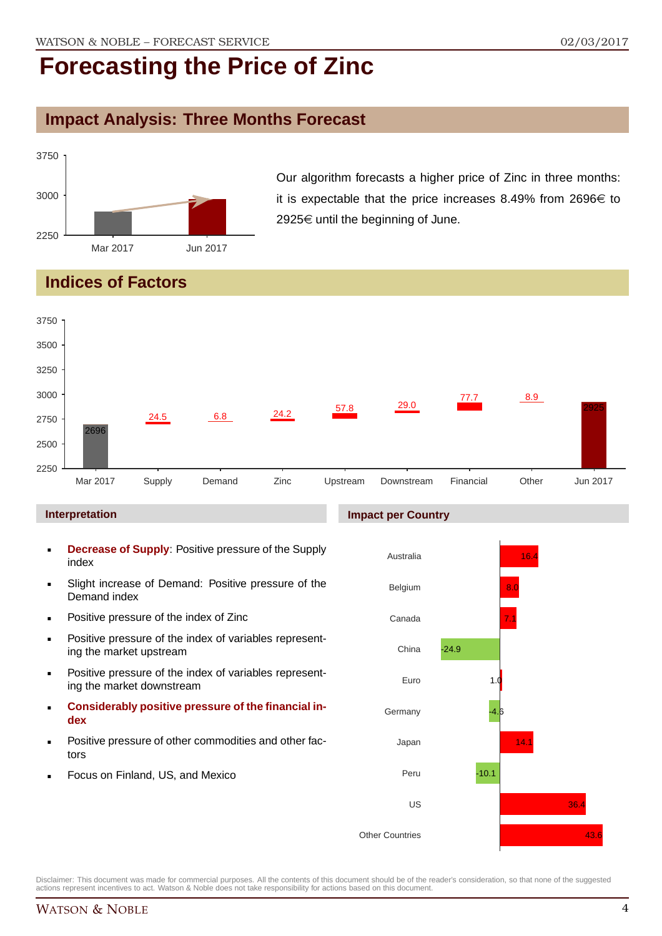### **Impact Analysis: Three Months Forecast**



Our algorithm forecasts a higher price of Zinc in three months: it is expectable that the price increases 8.49% from 2696 $\in$  to 2925 $€$  until the beginning of June.

### **Indices of Factors**



Peru

-10.1

US

Other Countries

Disclaimer: This document was made for commercial purposes. All the contents of this document should be of the reader's consideration, so that none of the suggested

actions represent incentives to act. Watson & Noble does not take responsibility for actions based on this document.

Focus on Finland, US, and Mexico

WATSON & NOBLE 4

36.4

43.6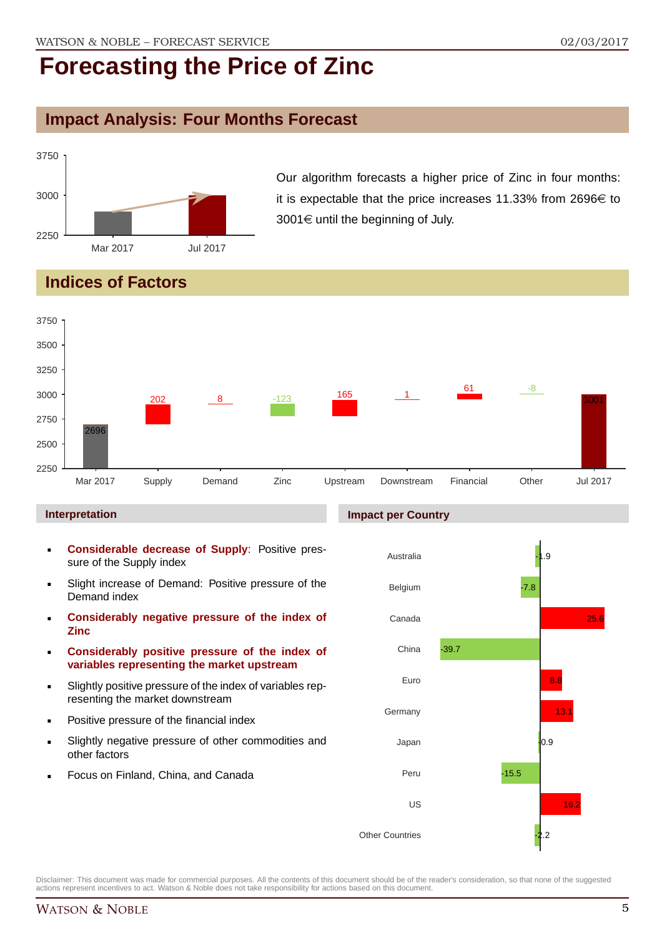#### **Impact Analysis: Four Months Forecast**



Our algorithm forecasts a higher price of Zinc in four months: it is expectable that the price increases 11.33% from 2696 $\in$  to  $3001 \in \text{until the beginning of July.}$ 

### **Indices of Factors**



#### **Interpretation**

- **Considerable decrease of Supply**: Positive pressure of the Supply index
- Slight increase of Demand: Positive pressure of the Demand index
- **Considerably negative pressure of the index of Zinc**
- **Considerably positive pressure of the index of variables representing the market upstream**
- Slightly positive pressure of the index of variables representing the market downstream
- Positive pressure of the financial index
- Slightly negative pressure of other commodities and other factors
- Focus on Finland, China, and Canada



**Impact per Country**

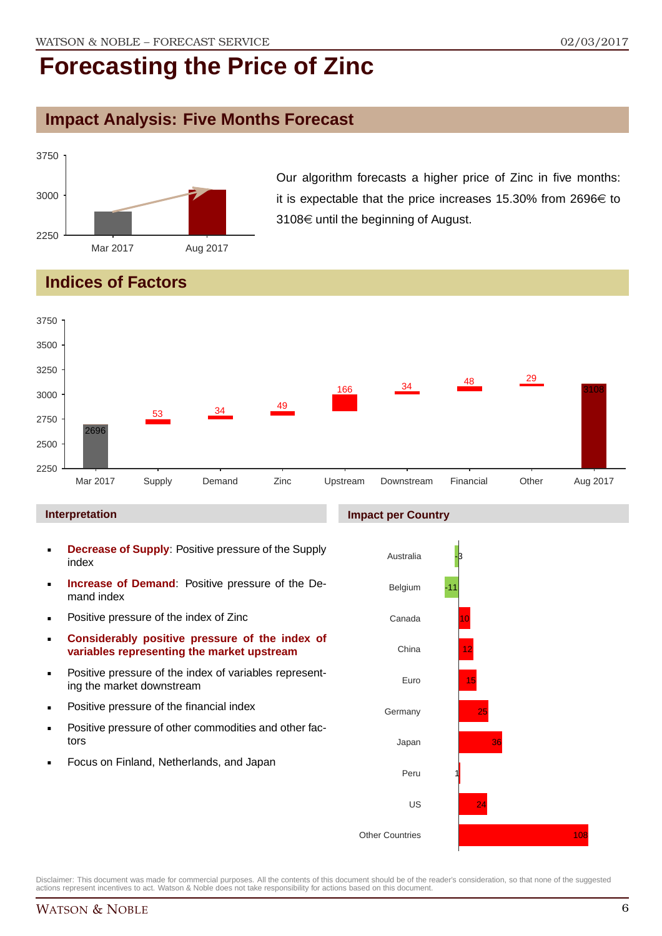#### **Impact Analysis: Five Months Forecast**



Our algorithm forecasts a higher price of Zinc in five months: it is expectable that the price increases 15.30% from 2696 $\in$  to  $3108 \in \mathsf{until}$  the beginning of August.

### **Indices of Factors**



#### **Interpretation**

- **Decrease of Supply**: Positive pressure of the Supply index
- **Increase of Demand**: Positive pressure of the Demand index
- **Positive pressure of the index of Zinc**
- **Considerably positive pressure of the index of variables representing the market upstream**
- **Positive pressure of the index of variables represent**ing the market downstream
- **•** Positive pressure of the financial index
- **Positive pressure of other commodities and other fac**tors
- Focus on Finland, Netherlands, and Japan

#### **Impact per Country**

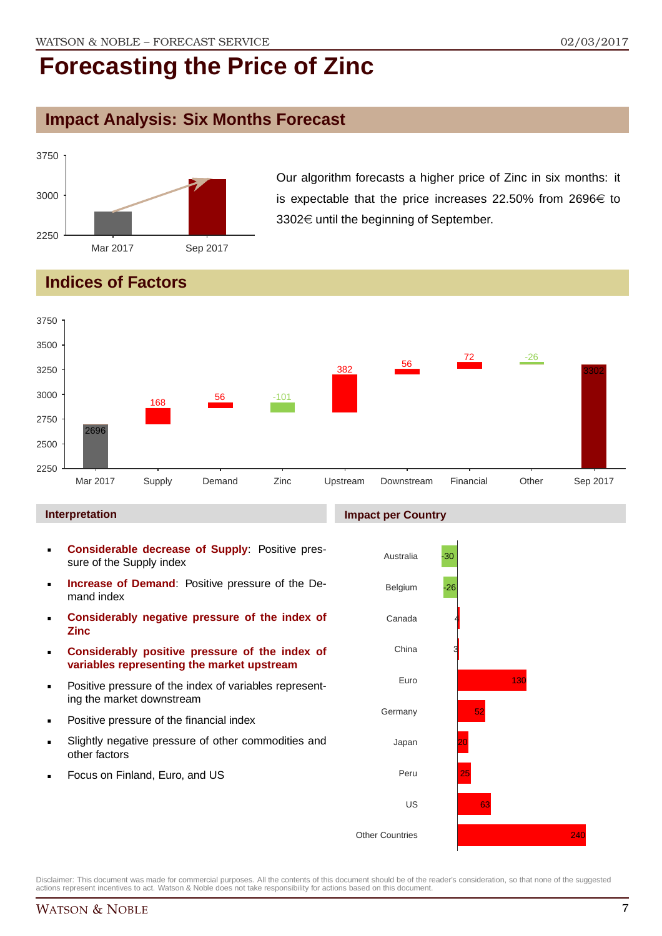#### **Impact Analysis: Six Months Forecast**



Our algorithm forecasts a higher price of Zinc in six months: it is expectable that the price increases 22.50% from 2696 $\in$  to  $3302 \in \mathsf{until}$  the beginning of September.

### **Indices of Factors**



#### **Interpretation**

- **Considerable decrease of Supply**: Positive pressure of the Supply index
- **Increase of Demand**: Positive pressure of the Demand index
- **Considerably negative pressure of the index of Zinc**
- **Considerably positive pressure of the index of variables representing the market upstream**
- Positive pressure of the index of variables representing the market downstream
- Positive pressure of the financial index
- Slightly negative pressure of other commodities and other factors
- Focus on Finland, Euro, and US

#### **Impact per Country**

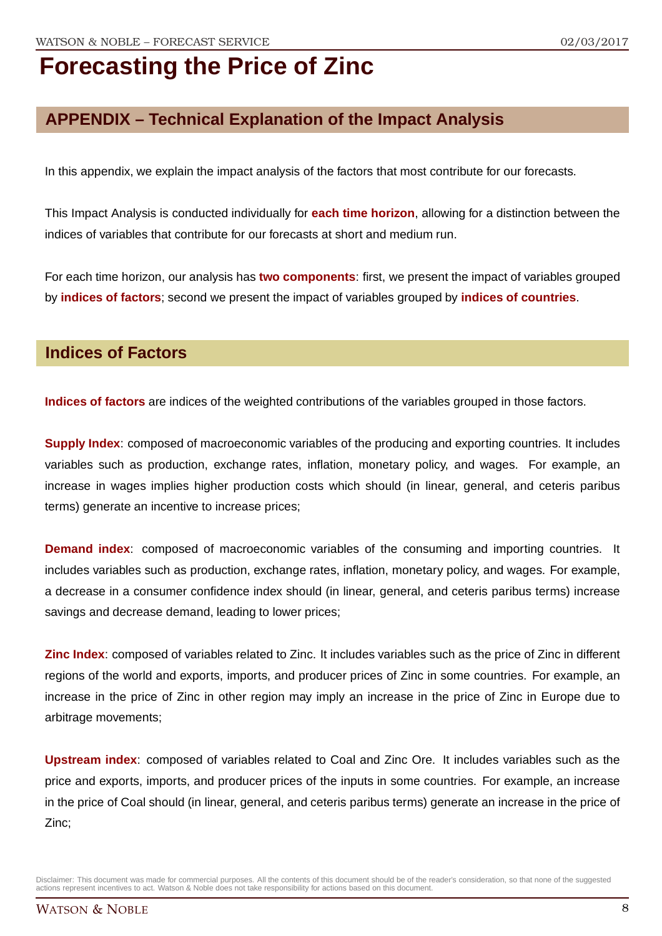### **APPENDIX – Technical Explanation of the Impact Analysis**

In this appendix, we explain the impact analysis of the factors that most contribute for our forecasts.

This Impact Analysis is conducted individually for **each time horizon**, allowing for a distinction between the indices of variables that contribute for our forecasts at short and medium run.

For each time horizon, our analysis has **two components**: first, we present the impact of variables grouped by **indices of factors**; second we present the impact of variables grouped by **indices of countries**.

#### **Indices of Factors**

**Indices of factors** are indices of the weighted contributions of the variables grouped in those factors.

**Supply Index**: composed of macroeconomic variables of the producing and exporting countries. It includes variables such as production, exchange rates, inflation, monetary policy, and wages. For example, an increase in wages implies higher production costs which should (in linear, general, and ceteris paribus terms) generate an incentive to increase prices;

**Demand index**: composed of macroeconomic variables of the consuming and importing countries. It includes variables such as production, exchange rates, inflation, monetary policy, and wages. For example, a decrease in a consumer confidence index should (in linear, general, and ceteris paribus terms) increase savings and decrease demand, leading to lower prices;

**Zinc Index**: composed of variables related to Zinc. It includes variables such as the price of Zinc in different regions of the world and exports, imports, and producer prices of Zinc in some countries. For example, an increase in the price of Zinc in other region may imply an increase in the price of Zinc in Europe due to arbitrage movements;

**Upstream index**: composed of variables related to Coal and Zinc Ore. It includes variables such as the price and exports, imports, and producer prices of the inputs in some countries. For example, an increase in the price of Coal should (in linear, general, and ceteris paribus terms) generate an increase in the price of Zinc;